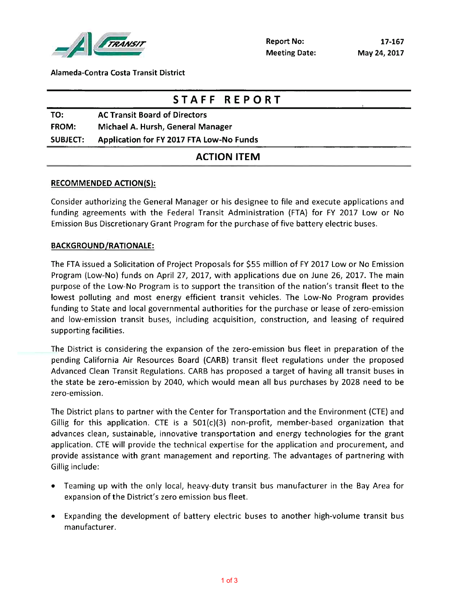

Alameda-Contra Costa Transit District

|                 | STAFF REPORT                             |  |
|-----------------|------------------------------------------|--|
| TO:             | <b>AC Transit Board of Directors</b>     |  |
| <b>FROM:</b>    | Michael A. Hursh, General Manager        |  |
| <b>SUBJECT:</b> | Application for FY 2017 FTA Low-No Funds |  |
|                 | <b>ACTION ITEM</b>                       |  |

## RECOMMENDED ACTION(S)

Consider authorizing the General Manager or his designee to file and execute applications and funding agreements with the Federal Transit Administration (FTA) for FY 2017 Low or No Emission Bus Discretionary Grant Program for the purchase of five battery electric buses.

## BACKGROUND/RATIONALE

The FTA Issued a Solicitation of Project Proposals for \$55 million of FY 2017 Low or No Emission Program (Low-No) funds on April 27, 2017, with applications due on June 26, 2017. The main purpose of the Low-No Program is to support the transition of the nation's transit fleet to the lowest polluting and most energy efficient transit vehicles. The Low-No Program provides funding to State and local governmental authorities for the purchase or lease of zero-emission and low-emission transit buses, including acquisition, construction, and leasing of required supporting facilities.

The District is considering the expansion of the zero-emission bus fleet in preparation of the pending California Air Resources Board (CARB) transit fleet regulations under the proposed Advanced Clean Transit Regulations. CARB has proposed a target of having all transit buses in the state be zero-emission by 2040, which would mean all bus purchases by 2028 need to be zero-emission.

The District plans to partner with the Center for Transportation and the Environment(CTE) and Gillig for this application. CTE is a  $501(c)(3)$  non-profit, member-based organization that advances clean, sustainable, innovative transportation and energy technologies for the grant application. CTE will provide the technical expertise for the application and procurement, and provide assistance with grant management and reporting. The advantages of partnering with Gillig include:

- e Teaming up with the only local, heavy-duty transit bus manufacturer in the Bay Area for expansion of the District's zero emission bus fleet.
- e Expanding the development of battery electric buses to another high-volume transit bus manufacturer.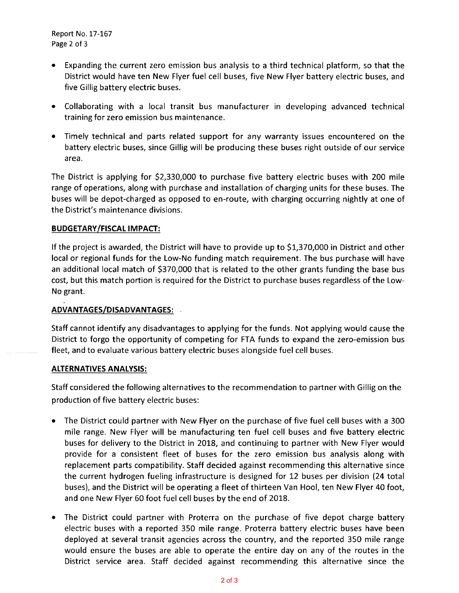Report No. 17-167 Page 2 of 3

- e Expanding the current zero emission bus analysis to a third technical platform, so that the District would have ten New Flyer fuel cell buses, five New Flyer battery electric buses, and five Gillig battery electric buses.
- e Collaborating with a local transit bus manufacturer in developing advanced technical training for zero emission bus maintenance.
- e Timely technical and parts related support for any warranty issues encountered on the battery electric buses, since Glllig will be producing these buses right outside of our service area

The District is applying for \$2,330,000 to purchase five battery electric buses with 200 mile range of operations, along with purchase and installation of charging units for these buses. The buses will be depot-charged as opposed to en-route, with charging occurring nightly at one of the District's maintenance divisions.

# BUDGETARY/FISCAL IMPACT

If the project is awarded, the District will have to provide up to \$1,370,000 in District and other local or regional funds for the Low-No funding match requirement. The bus purchase will have an additional local match of \$370,000 that is related to the other grants funding the base bus cost, but this match portion is required for the District to purchase buses regardless of the Low-No grant.

# ADVANTAGES/DISADVANTAGES

Staff cannot identify any disadvantages to applying for the funds. Not applying would cause the District to forgo the opportunity of competing for FTA funds to expand the zero-emission bus fleet, and to evaluate various battery electric buses alongside fuel cell buses.

### ALTERNATIVES ANALYSIS

Staff considered the following alternatives to the recommendation to partner with Gillis on the production of five battery electric buses:

- The District could partner with New Flyer on the purchase of five fuel cell buses with a 300 mile range. New Flyer will be manufacturing ten fuel cell buses and five battery electric buses for delivery to the District in 2018, and continuing to partner with New Flyer would provide for a consistent fleet of buses for the zero emission bus analysis along with replacement parts compatibility. Staff decided against recommending this alternative since the current hydrogen fueling infrastructure is designed for 12 buses per division (24 total buses), and the District will be operating a fleet of thirteen Van Hool, ten New Flyer 40 foot, and one New Flyer 60 foot fuel cell buses by the end of 2018.
- The District could partner with Proterra on the purchase of five depot charge battery  $\bullet$ electric buses with a reported 350 mile range. Proterra battery electric buses have been deployed at several transit agencies across the country, and the reported 350 mile range would ensure the buses are able to operate the entire day on any of the routes in the District service area. Staff decided against recommending this alternative since the